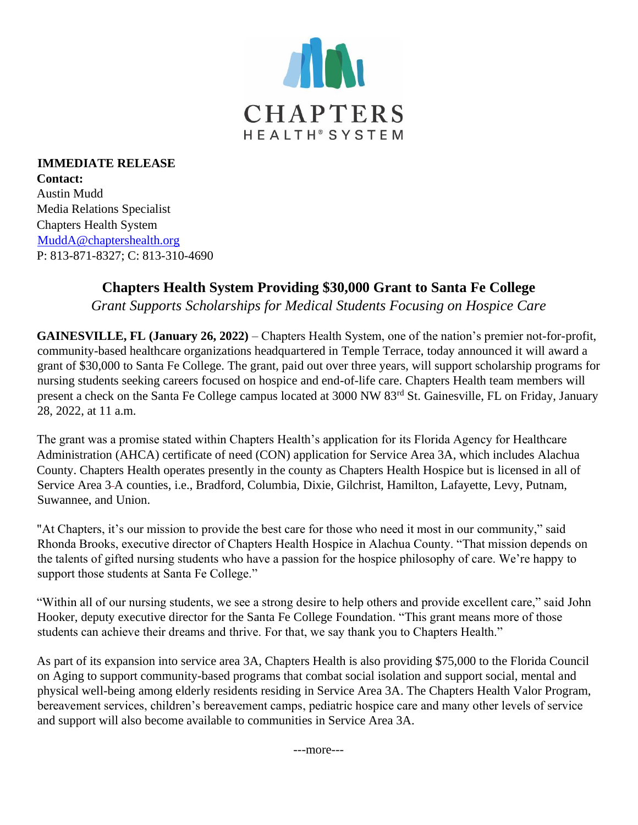

**IMMEDIATE RELEASE Contact:** Austin Mudd Media Relations Specialist Chapters Health System MuddA@chaptershealth.org P: 813-871-8327; C: 813-310-4690

## **Chapters Health System Providing \$30,000 Grant to Santa Fe College**

*Grant Supports Scholarships for Medical Students Focusing on Hospice Care*

**GAINESVILLE, FL (January 26, 2022)** – Chapters Health System, one of the nation's premier not-for-profit, community-based healthcare organizations headquartered in Temple Terrace, today announced it will award a grant of \$30,000 to Santa Fe College. The grant, paid out over three years, will support scholarship programs for nursing students seeking careers focused on hospice and end-of-life care. Chapters Health team members will present a check on the Santa Fe College campus located at 3000 NW 83rd St. Gainesville, FL on Friday, January 28, 2022, at 11 a.m.

The grant was a promise stated within Chapters Health's application for its Florida Agency for Healthcare Administration (AHCA) certificate of need (CON) application for Service Area 3A, which includes Alachua County. Chapters Health operates presently in the county as Chapters Health Hospice but is licensed in all of Service Area 3 A counties, i.e., Bradford, Columbia, Dixie, Gilchrist, Hamilton, Lafayette, Levy, Putnam, Suwannee, and Union.

"At Chapters, it's our mission to provide the best care for those who need it most in our community," said Rhonda Brooks, executive director of Chapters Health Hospice in Alachua County. "That mission depends on the talents of gifted nursing students who have a passion for the hospice philosophy of care. We're happy to support those students at Santa Fe College."

"Within all of our nursing students, we see a strong desire to help others and provide excellent care," said John Hooker, deputy executive director for the Santa Fe College Foundation. "This grant means more of those students can achieve their dreams and thrive. For that, we say thank you to Chapters Health."

As part of its expansion into service area 3A, Chapters Health is also providing \$75,000 to the Florida Council on Aging to support community-based programs that combat social isolation and support social, mental and physical well-being among elderly residents residing in Service Area 3A. The Chapters Health Valor Program, bereavement services, children's bereavement camps, pediatric hospice care and many other levels of service and support will also become available to communities in Service Area 3A.

---more---